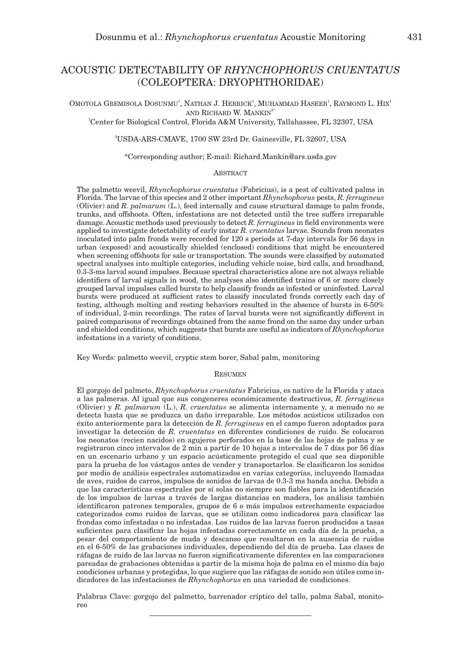# ACOUSTIC DETECTABILITY OF *RHYNCHOPHORUS CRUENTATUS* (COLEOPTERA: DRYOPHTHORIDAE)

Omotola Gbemisola Dosunmu<sup>1</sup>, Nathan J. Herrick<sup>1</sup>, Muhammad Haseeb<sup>1</sup>, Raymond L. Hix<sup>1</sup> and Richard W. Mankin<sup>2\*</sup>

1 Center for Biological Control, Florida A&M University, Tallahassee, FL 32307, USA

2 USDA-ARS-CMAVE, 1700 SW 23rd Dr. Gainesville, FL 32607, USA

# \*Corresponding author; E-mail: Richard.Mankin@ars.usda.gov

# **ABSTRACT**

The palmetto weevil, *Rhynchophorus cruentatus* (Fabricius), is a pest of cultivated palms in Florida. The larvae of this species and 2 other important *Rhynchophorus* pests, *R. ferrugineus* (Olivier) and *R. palmarum* (L.), feed internally and cause structural damage to palm fronds, trunks, and offshoots. Often, infestations are not detected until the tree suffers irreparable damage. Acoustic methods used previously to detect *R. ferrugineus* in field environments were applied to investigate detectability of early instar *R. cruentatus* larvae. Sounds from neonates inoculated into palm fronds were recorded for 120 s periods at 7-day intervals for 56 days in urban (exposed) and acoustically shielded (enclosed) conditions that might be encountered when screening offshoots for sale or transportation. The sounds were classified by automated spectral analyses into multiple categories, including vehicle noise, bird calls, and broadband, 0.3-3-ms larval sound impulses. Because spectral characteristics alone are not always reliable identifiers of larval signals in wood, the analyses also identified trains of 6 or more closely grouped larval impulses called bursts to help classify fronds as infested or uninfested. Larval bursts were produced at sufficient rates to classify inoculated fronds correctly each day of testing, although molting and resting behaviors resulted in the absence of bursts in 6-50% of individual, 2-min recordings. The rates of larval bursts were not significantly different in paired comparisons of recordings obtained from the same frond on the same day under urban and shielded conditions, which suggests that bursts are useful as indicators of *Rhynchophorus* infestations in a variety of conditions.

Key Words: palmetto weevil, cryptic stem borer, Sabal palm, monitoring

## **RESUMEN**

El gorgojo del palmeto, *Rhynchophorus cruentatus* Fabricius, es nativo de la Florida y ataca a las palmeras. Al igual que sus congeneres económicamente destructivos, *R. ferrugineus* (Olivier) y *R. palmarum* (L.), *R. cruentatus* se alimenta internamente y, a menudo no se detecta hasta que se produzca un daño irreparable. Los métodos acústicos utilizados con éxito anteriormente para la detección de *R. ferrugineus* en el campo fueron adoptados para investigar la detección de *R. cruentatus* en diferentes condiciones de ruido. Se colocaron los neonatos (recien nacidos) en agujeros perforados en la base de las hojas de palma y se registraron cinco intervalos de 2 min a partir de 10 hojas a intervalos de 7 días por 56 días en un escenario urbano y un espacio acústicamente protegido el cual que sea disponible para la prueba de los vástagos antes de vender y transportarlos. Se clasificaron los sonidos por medio de análisis espectrales automatizados en varias categorías, incluyendo llamadas de aves, ruidos de carros, impulsos de sonidos de larvas de 0.3-3 ms banda ancha. Debido a que las características espectrales por sí solas no siempre son fiables para la identificación de los impulsos de larvas a través de largas distancias en madera, los análisis también identificaron patrones temporales, grupos de 6 o más impulsos estrechamente espaciados categorizados como ruidos de larvas, que se utilizan como indicadores para clasificar las frondas como infestadas o no infestadas. Los ruidos de las larvas fueron producidos a tasas suficientes para clasificar las hojas infestadas correctamente en cada día de la prueba, a pesar del comportamiento de muda y descanso que resultaron en la ausencia de ruidos en el 6-50% de las grabaciones individuales, dependiendo del día de prueba. Las clases de ráfagas de ruido de las larvas no fueron significativamente diferentes en las comparaciones pareadas de grabaciones obtenidas a partir de la misma hoja de palma en el mismo día bajo condiciones urbanas y protegidas, lo que sugiere que las ráfagas de sonido son útiles como indicadores de las infestaciones de *Rhynchophorus* en una variedad de condiciones.

Palabras Clave: gorgojo del palmetto, barrenador críptico del tallo, palma Sabal, monitoreo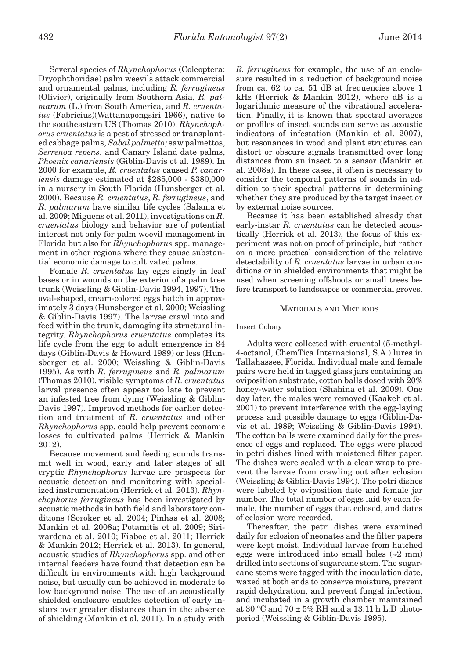Several species of *Rhynchophorus* (Coleoptera: Dryophthoridae) palm weevils attack commercial and ornamental palms, including *R. ferrugineus* (Olivier), originally from Southern Asia, *R. palmarum* (L.) from South America, and *R. cruentatus* (Fabricius)(Wattanapongsiri 1966), native to the southeastern US (Thomas 2010). *Rhynchophorus cruentatus* is a pest of stressed or transplanted cabbage palms, *Sabal palmetto;* saw palmettos, *Serrenoa repens*, and Canary Island date palms, *Phoenix canariensis* (Giblin-Davis et al. 1989). In 2000 for example, *R. cruentatus* caused *P. canariensis* damage estimated at \$285,000 - \$380,000 in a nursery in South Florida (Hunsberger et al. 2000). Because *R. cruentatus*, *R. ferrugineus*, and *R. palmarum* have similar life cycles (Salama et al. 2009; Miguens et al. 2011), investigations on *R. cruentatus* biology and behavior are of potential interest not only for palm weevil management in Florida but also for *Rhynchophorus* spp. management in other regions where they cause substantial economic damage to cultivated palms.

Female *R. cruentatus* lay eggs singly in leaf bases or in wounds on the exterior of a palm tree trunk (Weissling & Giblin-Davis 1994, 1997). The oval-shaped, cream-colored eggs hatch in approximately 3 days (Hunsberger et al. 2000; Weissling & Giblin-Davis 1997). The larvae crawl into and feed within the trunk, damaging its structural integrity. *Rhynchophorus cruentatus* completes its life cycle from the egg to adult emergence in 84 days (Giblin-Davis & Howard 1989) or less (Hunsberger et al. 2000; Weissling & Giblin-Davis 1995). As with *R. ferrugineus* and *R. palmarum* (Thomas 2010), visible symptoms of *R. cruentatus* larval presence often appear too late to prevent an infested tree from dying (Weissling & Giblin-Davis 1997). Improved methods for earlier detection and treatment of *R. cruentatus* and other *Rhynchophorus* spp. could help prevent economic losses to cultivated palms (Herrick & Mankin 2012).

Because movement and feeding sounds transmit well in wood, early and later stages of all cryptic *Rhynchophorus* larvae are prospects for acoustic detection and monitoring with specialized instrumentation (Herrick et al. 2013). *Rhynchophorus ferrugineus* has been investigated by acoustic methods in both field and laboratory conditions (Soroker et al. 2004; Pinhas et al. 2008; Mankin et al. 2008a; Potamitis et al. 2009; Siriwardena et al. 2010; Fiaboe et al. 2011; Herrick & Mankin 2012; Herrick et al. 2013). In general, acoustic studies of *Rhynchophorus* spp. and other internal feeders have found that detection can be difficult in environments with high background noise, but usually can be achieved in moderate to low background noise. The use of an acoustically shielded enclosure enables detection of early instars over greater distances than in the absence of shielding (Mankin et al. 2011). In a study with *R. ferrugineus* for example, the use of an enclosure resulted in a reduction of background noise from ca. 62 to ca. 51 dB at frequencies above 1 kHz (Herrick & Mankin 2012), where dB is a logarithmic measure of the vibrational acceleration. Finally, it is known that spectral averages or profiles of insect sounds can serve as acoustic indicators of infestation (Mankin et al. 2007), but resonances in wood and plant structures can distort or obscure signals transmitted over long distances from an insect to a sensor (Mankin et al. 2008a). In these cases, it often is necessary to consider the temporal patterns of sounds in addition to their spectral patterns in determining whether they are produced by the target insect or by external noise sources.

Because it has been established already that early-instar *R. cruentatus* can be detected acoustically (Herrick et al. 2013), the focus of this experiment was not on proof of principle, but rather on a more practical consideration of the relative detectability of *R. cruentatus* larvae in urban conditions or in shielded environments that might be used when screening offshoots or small trees before transport to landscapes or commercial groves.

## Materials and Methods

## Insect Colony

Adults were collected with cruentol (5-methyl-4-octanol, ChemTica Internacional, S.A.) lures in Tallahassee, Florida. Individual male and female pairs were held in tagged glass jars containing an oviposition substrate, cotton balls dosed with 20% honey-water solution (Shahina et al. 2009). One day later, the males were removed (Kaakeh et al. 2001) to prevent interference with the egg-laying process and possible damage to eggs (Giblin-Davis et al. 1989; Weissling & Giblin-Davis 1994). The cotton balls were examined daily for the presence of eggs and replaced. The eggs were placed in petri dishes lined with moistened filter paper. The dishes were sealed with a clear wrap to prevent the larvae from crawling out after eclosion (Weissling & Giblin-Davis 1994). The petri dishes were labeled by oviposition date and female jar number. The total number of eggs laid by each female, the number of eggs that eclosed, and dates of eclosion were recorded.

Thereafter, the petri dishes were examined daily for eclosion of neonates and the filter papers were kept moist. Individual larvae from hatched eggs were introduced into small holes  $(\approx 2 \text{ mm})$ drilled into sections of sugarcane stem. The sugarcane stems were tagged with the inoculation date, waxed at both ends to conserve moisture, prevent rapid dehydration, and prevent fungal infection, and incubated in a growth chamber maintained at 30 °C and 70  $\pm$  5% RH and a 13:11 h L:D photoperiod (Weissling & Giblin-Davis 1995).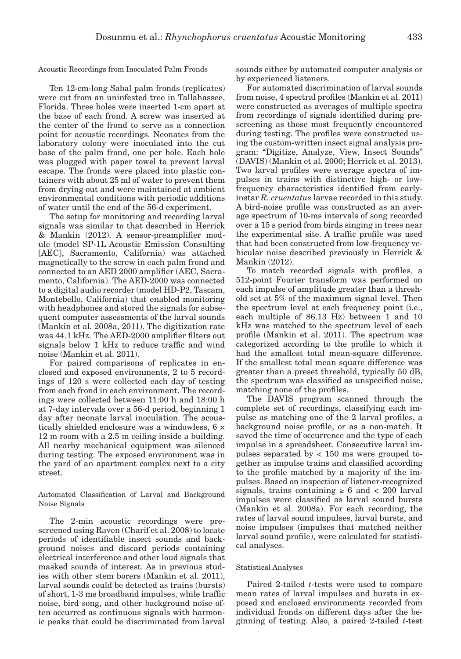Acoustic Recordings from Inoculated Palm Fronds

Ten 12-cm-long Sabal palm fronds (replicates) were cut from an uninfested tree in Tallahassee, Florida. Three holes were inserted 1-cm apart at the base of each frond. A screw was inserted at the center of the frond to serve as a connection point for acoustic recordings. Neonates from the laboratory colony were inoculated into the cut base of the palm frond, one per hole. Each hole was plugged with paper towel to prevent larval escape. The fronds were placed into plastic containers with about 25 ml of water to prevent them from drying out and were maintained at ambient environmental conditions with periodic additions of water until the end of the 56-d experiment.

The setup for monitoring and recording larval signals was similar to that described in Herrick & Mankin (2012). A sensor-preamplifier module (model SP-1L Acoustic Emission Consulting [AEC], Sacramento, California) was attached magnetically to the screw in each palm frond and connected to an AED 2000 amplifier (AEC, Sacramento, California). The AED-2000 was connected to a digital audio recorder (model HD-P2, Tascam, Montebello, California) that enabled monitoring with headphones and stored the signals for subsequent computer assessments of the larval sounds (Mankin et al*.* 2008a, 2011). The digitization rate was 44.1 kHz. The AED-2000 amplifier filters out signals below 1 kHz to reduce traffic and wind noise (Mankin et al. 2011).

For paired comparisons of replicates in enclosed and exposed environments, 2 to 5 recordings of 120 s were collected each day of testing from each frond in each environment. The recordings were collected between 11:00 h and 18:00 h at 7-day intervals over a 56-d period, beginning 1 day after neonate larval inoculation. The acoustically shielded enclosure was a windowless, 6 × 12 m room with a 2.5 m ceiling inside a building. All nearby mechanical equipment was silenced during testing. The exposed environment was in the yard of an apartment complex next to a city street.

Automated Classification of Larval and Background Noise Signals

The 2-min acoustic recordings were prescreened using Raven (Charif et al. 2008) to locate periods of identifiable insect sounds and background noises and discard periods containing electrical interference and other loud signals that masked sounds of interest. As in previous studies with other stem borers (Mankin et al. 2011), larval sounds could be detected as trains (bursts) of short, 1-3 ms broadband impulses, while traffic noise, bird song, and other background noise often occurred as continuous signals with harmonic peaks that could be discriminated from larval

sounds either by automated computer analysis or by experienced listeners.

For automated discrimination of larval sounds from noise, 4 spectral profiles (Mankin et al. 2011) were constructed as averages of multiple spectra from recordings of signals identified during prescreening as those most frequently encountered during testing. The profiles were constructed using the custom-written insect signal analysis program: "Digitize, Analyze, View, Insect Sounds" (DAVIS) (Mankin et al. 2000; Herrick et al. 2013). Two larval profiles were average spectra of impulses in trains with distinctive high- or lowfrequency characteristics identified from earlyinstar *R. cruentatus* larvae recorded in this study. A bird-noise profile was constructed as an average spectrum of 10-ms intervals of song recorded over a 15 s period from birds singing in trees near the experimental site. A traffic profile was used that had been constructed from low-frequency vehicular noise described previously in Herrick & Mankin (2012).

To match recorded signals with profiles, a 512-point Fourier transform was performed on each impulse of amplitude greater than a threshold set at 5% of the maximum signal level. Then the spectrum level at each frequency point (i.e., each multiple of 86.13 Hz) between 1 and 10 kHz was matched to the spectrum level of each profile (Mankin et al. 2011). The spectrum was categorized according to the profile to which it had the smallest total mean-square difference. If the smallest total mean square difference was greater than a preset threshold, typically 50 dB, the spectrum was classified as unspecified noise, matching none of the profiles.

The DAVIS program scanned through the complete set of recordings, classifying each impulse as matching one of the 2 larval profiles, a background noise profile, or as a non-match. It saved the time of occurrence and the type of each impulse in a spreadsheet. Consecutive larval impulses separated by < 150 ms were grouped together as impulse trains and classified according to the profile matched by a majority of the impulses. Based on inspection of listener-recognized signals, trains containing  $\geq 6$  and  $\lt 200$  larval impulses were classified as larval sound bursts (Mankin et al. 2008a). For each recording, the rates of larval sound impulses, larval bursts, and noise impulses (impulses that matched neither larval sound profile), were calculated for statistical analyses.

# Statistical Analyses

Paired 2-tailed *t*-tests were used to compare mean rates of larval impulses and bursts in exposed and enclosed environments recorded from individual fronds on different days after the beginning of testing. Also, a paired 2-tailed *t*-test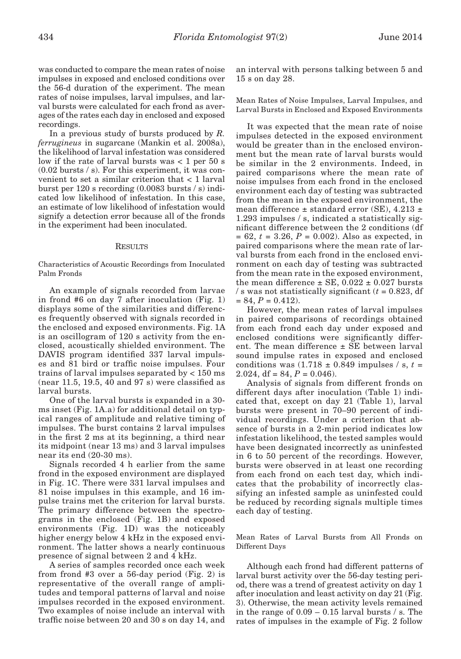was conducted to compare the mean rates of noise impulses in exposed and enclosed conditions over the 56-d duration of the experiment. The mean rates of noise impulses, larval impulses, and larval bursts were calculated for each frond as averages of the rates each day in enclosed and exposed recordings.

In a previous study of bursts produced by *R. ferrugineus* in sugarcane (Mankin et al. 2008a), the likelihood of larval infestation was considered low if the rate of larval bursts was < 1 per 50 s (0.02 bursts / s). For this experiment, it was convenient to set a similar criterion that < 1 larval burst per 120 s recording (0.0083 bursts / s) indicated low likelihood of infestation. In this case, an estimate of low likelihood of infestation would signify a detection error because all of the fronds in the experiment had been inoculated.

#### **RESULTS**

Characteristics of Acoustic Recordings from Inoculated Palm Fronds

An example of signals recorded from larvae in frond #6 on day 7 after inoculation (Fig. 1) displays some of the similarities and differences frequently observed with signals recorded in the enclosed and exposed environments. Fig. 1A is an oscillogram of 120 s activity from the enclosed, acoustically shielded environment. The DAVIS program identified 337 larval impulses and 81 bird or traffic noise impulses. Four trains of larval impulses separated by < 150 ms (near 11.5, 19.5, 40 and 97 s) were classified as larval bursts.

One of the larval bursts is expanded in a 30 ms inset (Fig. 1A.a) for additional detail on typical ranges of amplitude and relative timing of impulses. The burst contains 2 larval impulses in the first 2 ms at its beginning, a third near its midpoint (near 13 ms) and 3 larval impulses near its end (20-30 ms).

Signals recorded 4 h earlier from the same frond in the exposed environment are displayed in Fig. 1C. There were 331 larval impulses and 81 noise impulses in this example, and 16 impulse trains met the criterion for larval bursts. The primary difference between the spectrograms in the enclosed (Fig. 1B) and exposed environments (Fig. 1D) was the noticeably higher energy below 4 kHz in the exposed environment. The latter shows a nearly continuous presence of signal between 2 and 4 kHz.

A series of samples recorded once each week from frond #3 over a 56-day period (Fig. 2) is representative of the overall range of amplitudes and temporal patterns of larval and noise impulses recorded in the exposed environment. Two examples of noise include an interval with traffic noise between 20 and 30 s on day 14, and an interval with persons talking between 5 and 15 s on day 28.

Mean Rates of Noise Impulses, Larval Impulses, and Larval Bursts in Enclosed and Exposed Environments

It was expected that the mean rate of noise impulses detected in the exposed environment would be greater than in the enclosed environment but the mean rate of larval bursts would be similar in the 2 environments. Indeed, in paired comparisons where the mean rate of noise impulses from each frond in the enclosed environment each day of testing was subtracted from the mean in the exposed environment, the mean difference  $\pm$  standard error (SE), 4.213  $\pm$ 1.293 impulses / s, indicated a statistically significant difference between the 2 conditions (df  $= 62$ ,  $t = 3.26$ ,  $P = 0.002$ ). Also as expected, in paired comparisons where the mean rate of larval bursts from each frond in the enclosed environment on each day of testing was subtracted from the mean rate in the exposed environment, the mean difference  $\pm$  SE, 0.022  $\pm$  0.027 bursts  $\frac{1}{s}$  was not statistically significant ( $t = 0.823$ , df  $= 84, P = 0.412$ .

However, the mean rates of larval impulses in paired comparisons of recordings obtained from each frond each day under exposed and enclosed conditions were significantly different. The mean difference ± SE between larval sound impulse rates in exposed and enclosed conditions was  $(1.718 \pm 0.849$  impulses / s, t = 2.024,  $df = 84$ ,  $P = 0.046$ ).

Analysis of signals from different fronds on different days after inoculation (Table 1) indicated that, except on day 21 (Table 1), larval bursts were present in 70–90 percent of individual recordings. Under a criterion that absence of bursts in a 2-min period indicates low infestation likelihood, the tested samples would have been designated incorrectly as uninfested in 6 to 50 percent of the recordings. However, bursts were observed in at least one recording from each frond on each test day, which indicates that the probability of incorrectly classifying an infested sample as uninfested could be reduced by recording signals multiple times each day of testing.

Mean Rates of Larval Bursts from All Fronds on Different Days

Although each frond had different patterns of larval burst activity over the 56-day testing period, there was a trend of greatest activity on day 1 after inoculation and least activity on day 21 (Fig. 3). Otherwise, the mean activity levels remained in the range of 0.09 – 0.15 larval bursts / s. The rates of impulses in the example of Fig. 2 follow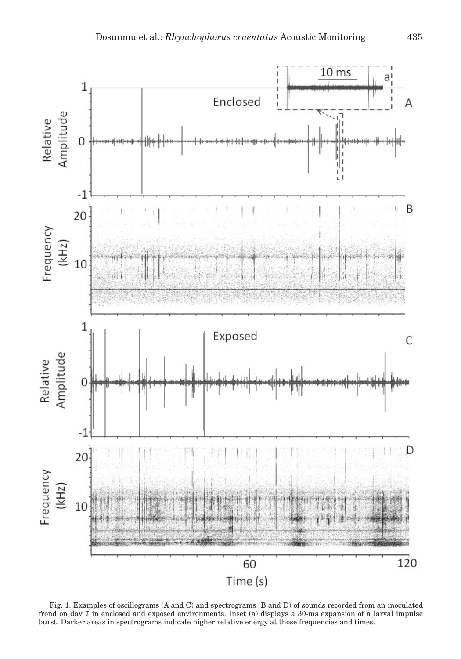

Fig. 1. Examples of oscillograms (A and C) and spectrograms (B and D) of sounds recorded from an inoculated frond on day 7 in enclosed and exposed environments. Inset (a) displays a 30-ms expansion of a larval impulse burst. Darker areas in spectrograms indicate higher relative energy at those frequencies and times.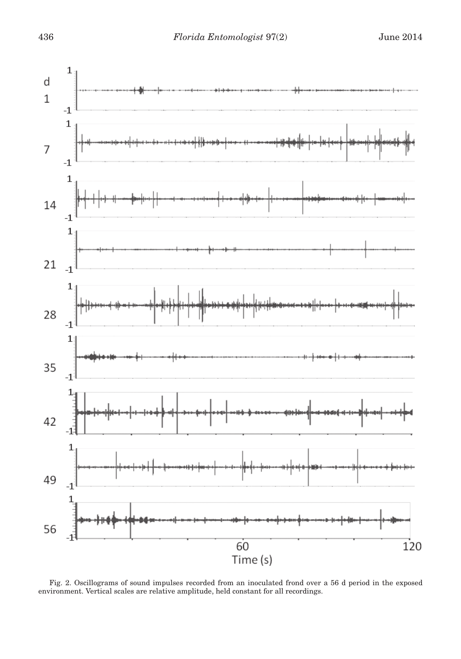

Fig. 2. Oscillograms of sound impulses recorded from an inoculated frond over a 56 d period in the exposed environment. Vertical scales are relative amplitude, held constant for all recordings.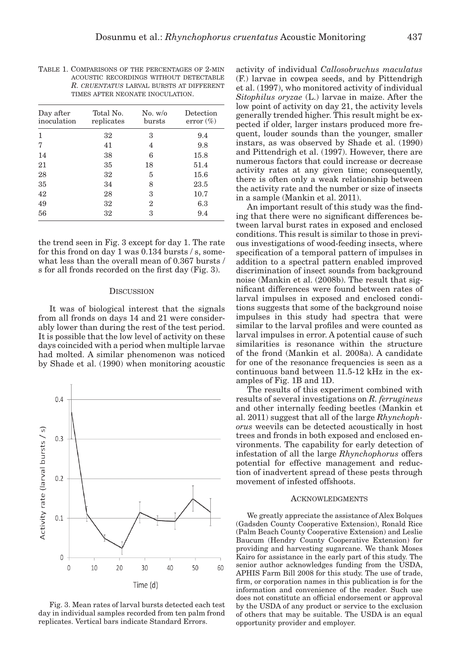| Day after<br>inoculation | Total No.<br>replicates | No. w/o<br>bursts | Detection<br>$error (\%)$ |
|--------------------------|-------------------------|-------------------|---------------------------|
| 1                        | 32                      | 3                 | 9.4                       |
| 7                        | 41                      | 4                 | 9.8                       |
| 14                       | 38                      | 6                 | 15.8                      |
| 21                       | 35                      | 18                | 51.4                      |
| 28                       | 32                      | 5                 | 15.6                      |
| 35                       | 34                      | 8                 | 23.5                      |
| 42                       | 28                      | 3                 | 10.7                      |
| 49                       | 32                      | 2                 | 6.3                       |
| 56                       | 32                      | з                 | 9.4                       |

TABLE 1. COMPARISONS OF THE PERCENTAGES OF 2-MIN acoustic recordings without detectable *R. cruentatus* larval bursts at different times after neonate inoculation.

the trend seen in Fig. 3 except for day 1. The rate for this frond on day 1 was 0.134 bursts / s, somewhat less than the overall mean of 0.367 bursts / s for all fronds recorded on the first day (Fig. 3).

#### **DISCUSSION**

It was of biological interest that the signals from all fronds on days 14 and 21 were considerably lower than during the rest of the test period. It is possible that the low level of activity on these days coincided with a period when multiple larvae had molted. A similar phenomenon was noticed by Shade et al. (1990) when monitoring acoustic



Fig. 3. Mean rates of larval bursts detected each test day in individual samples recorded from ten palm frond replicates. Vertical bars indicate Standard Errors.

activity of individual *Callosobruchus maculatus* (F.) larvae in cowpea seeds, and by Pittendrigh et al. (1997), who monitored activity of individual *Sitophilus oryzae* (L.) larvae in maize. After the low point of activity on day 21, the activity levels generally trended higher. This result might be expected if older, larger instars produced more frequent, louder sounds than the younger, smaller instars, as was observed by Shade et al. (1990) and Pittendrigh et al. (1997). However, there are numerous factors that could increase or decrease activity rates at any given time; consequently, there is often only a weak relationship between the activity rate and the number or size of insects in a sample (Mankin et al. 2011).

An important result of this study was the finding that there were no significant differences between larval burst rates in exposed and enclosed conditions. This result is similar to those in previous investigations of wood-feeding insects, where specification of a temporal pattern of impulses in addition to a spectral pattern enabled improved discrimination of insect sounds from background noise (Mankin et al. (2008b). The result that significant differences were found between rates of larval impulses in exposed and enclosed conditions suggests that some of the background noise impulses in this study had spectra that were similar to the larval profiles and were counted as larval impulses in error. A potential cause of such similarities is resonance within the structure of the frond (Mankin et al. 2008a). A candidate for one of the resonance frequencies is seen as a continuous band between 11.5-12 kHz in the examples of Fig. 1B and 1D.

The results of this experiment combined with results of several investigations on *R. ferrugineus*  and other internally feeding beetles (Mankin et al. 2011) suggest that all of the large *Rhynchophorus* weevils can be detected acoustically in host trees and fronds in both exposed and enclosed environments. The capability for early detection of infestation of all the large *Rhynchophorus* offers potential for effective management and reduction of inadvertent spread of these pests through movement of infested offshoots.

# **ACKNOWLEDGMENTS**

We greatly appreciate the assistance of Alex Bolques (Gadsden County Cooperative Extension), Ronald Rice (Palm Beach County Cooperative Extension) and Leslie Baucum (Hendry County Cooperative Extension) for providing and harvesting sugarcane. We thank Moses Kairo for assistance in the early part of this study. The senior author acknowledges funding from the USDA, APHIS Farm Bill 2008 for this study. The use of trade, firm, or corporation names in this publication is for the information and convenience of the reader. Such use does not constitute an official endorsement or approval by the USDA of any product or service to the exclusion of others that may be suitable. The USDA is an equal opportunity provider and employer.